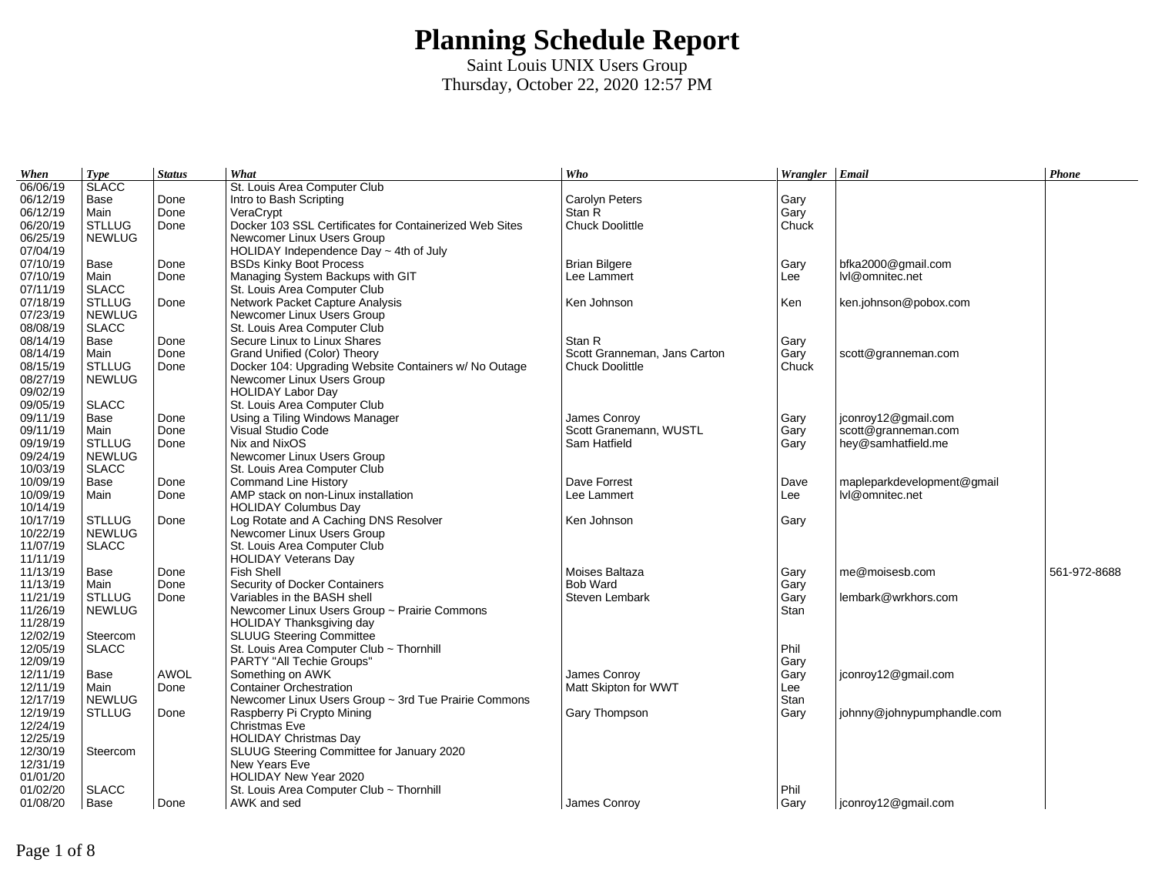| 06/06/19<br><b>SLACC</b><br>06/12/19<br><b>Carolyn Peters</b><br>Intro to Bash Scripting<br>Base<br>Done<br>Gary<br>06/12/19<br>Done<br>Stan R<br>Main<br>VeraCrypt<br>Gary<br>06/20/19<br><b>STLLUG</b><br>Chuck Doolittle<br>Done<br>Docker 103 SSL Certificates for Containerized Web Sites<br>Chuck<br>06/25/19<br><b>NEWLUG</b><br>Newcomer Linux Users Group<br>07/04/19<br>HOLIDAY Independence Day $\sim$ 4th of July<br>07/10/19<br>Base<br>Done<br><b>BSDs Kinky Boot Process</b><br><b>Brian Bilgere</b><br>Gary<br>bfka2000@gmail.com<br>07/10/19<br>Main<br>Done<br>Managing System Backups with GIT<br>Lee Lammert<br>Lee<br>lvl@omnitec.net<br>07/11/19<br><b>SLACC</b><br>St. Louis Area Computer Club<br>07/18/19<br><b>STLLUG</b><br>Network Packet Capture Analysis<br>Ken Johnson<br>Ken<br>ken.johnson@pobox.com<br>Done<br>07/23/19<br><b>NEWLUG</b><br>Newcomer Linux Users Group<br>08/08/19<br><b>SLACC</b><br>St. Louis Area Computer Club<br>08/14/19<br>Done<br>Secure Linux to Linux Shares<br>Stan R<br>Base<br>Gary<br>08/14/19<br>Done<br>Grand Unified (Color) Theory<br>Scott Granneman, Jans Carton<br>Gary<br>scott@granneman.com<br>Main<br>08/15/19<br>Chuck Doolittle<br>Chuck<br><b>STLLUG</b><br>Done<br>Docker 104: Upgrading Website Containers w/ No Outage<br>08/27/19<br><b>NEWLUG</b><br>Newcomer Linux Users Group<br>09/02/19<br><b>HOLIDAY Labor Day</b><br>09/05/19<br><b>SLACC</b><br>St. Louis Area Computer Club<br>09/11/19<br>Using a Tiling Windows Manager<br>James Conroy<br>jconroy12@gmail.com<br>Base<br>Done<br>Gary<br>09/11/19<br>Done<br>Scott Granemann, WUSTL<br>scott@granneman.com<br>Visual Studio Code<br>Gary<br>Main<br>09/19/19<br><b>STLLUG</b><br>Done<br>Nix and NixOS<br>Sam Hatfield<br>hey@samhatfield.me<br>Gary<br>09/24/19<br><b>NEWLUG</b><br>Newcomer Linux Users Group<br>10/03/19<br><b>SLACC</b><br>St. Louis Area Computer Club<br>10/09/19<br>Done<br>Dave Forrest<br>mapleparkdevelopment@gmail<br><b>Command Line History</b><br>Base<br>Dave<br>10/09/19<br>Done<br>AMP stack on non-Linux installation<br>Lee<br>lvl@omnitec.net<br>Main<br>Lee Lammert<br>10/14/19<br><b>HOLIDAY Columbus Day</b><br>10/17/19<br><b>STLLUG</b><br>Log Rotate and A Caching DNS Resolver<br>Ken Johnson<br>Done<br>Gary<br>10/22/19<br><b>NEWLUG</b><br>Newcomer Linux Users Group<br>11/07/19<br><b>SLACC</b><br>St. Louis Area Computer Club<br>11/11/19<br><b>HOLIDAY Veterans Day</b><br>11/13/19<br>Fish Shell<br>Done<br>Moises Baltaza<br>me@moisesb.com<br>561-972-8688<br>Base<br>Gary<br>11/13/19<br>Security of Docker Containers<br><b>Bob Ward</b><br>Gary<br>Main<br>Done<br>11/21/19<br><b>STLLUG</b><br>Variables in the BASH shell<br>Done<br>Steven Lembark<br>lembark@wrkhors.com<br>Gary<br>11/26/19<br><b>NEWLUG</b><br>Newcomer Linux Users Group ~ Prairie Commons<br>Stan<br>11/28/19<br>HOLIDAY Thanksgiving day<br>12/02/19<br><b>SLUUG Steering Committee</b><br>Steercom<br>12/05/19<br><b>SLACC</b><br>St. Louis Area Computer Club ~ Thornhill<br>Phil<br>12/09/19<br><b>PARTY "All Techie Groups"</b><br>Gary<br>12/11/19<br>James Conroy<br>jconroy12@gmail.com<br>Base<br><b>AWOL</b><br>Something on AWK<br>Gary<br><b>Container Orchestration</b><br>Matt Skipton for WWT<br>12/11/19<br>Done<br>Lee<br>Main | When | Type | <b>Status</b> | What                         | Who | Wrangler $ $ Email | Phone |
|--------------------------------------------------------------------------------------------------------------------------------------------------------------------------------------------------------------------------------------------------------------------------------------------------------------------------------------------------------------------------------------------------------------------------------------------------------------------------------------------------------------------------------------------------------------------------------------------------------------------------------------------------------------------------------------------------------------------------------------------------------------------------------------------------------------------------------------------------------------------------------------------------------------------------------------------------------------------------------------------------------------------------------------------------------------------------------------------------------------------------------------------------------------------------------------------------------------------------------------------------------------------------------------------------------------------------------------------------------------------------------------------------------------------------------------------------------------------------------------------------------------------------------------------------------------------------------------------------------------------------------------------------------------------------------------------------------------------------------------------------------------------------------------------------------------------------------------------------------------------------------------------------------------------------------------------------------------------------------------------------------------------------------------------------------------------------------------------------------------------------------------------------------------------------------------------------------------------------------------------------------------------------------------------------------------------------------------------------------------------------------------------------------------------------------------------------------------------------------------------------------------------------------------------------------------------------------------------------------------------------------------------------------------------------------------------------------------------------------------------------------------------------------------------------------------------------------------------------------------------------------------------------------------------------------------------------------------------------------------------------------------------------------------------------------------------------------------------------------------------------------------------------------------------------------------------------------------------------------------------------------------------------------------------------------------------------------|------|------|---------------|------------------------------|-----|--------------------|-------|
|                                                                                                                                                                                                                                                                                                                                                                                                                                                                                                                                                                                                                                                                                                                                                                                                                                                                                                                                                                                                                                                                                                                                                                                                                                                                                                                                                                                                                                                                                                                                                                                                                                                                                                                                                                                                                                                                                                                                                                                                                                                                                                                                                                                                                                                                                                                                                                                                                                                                                                                                                                                                                                                                                                                                                                                                                                                                                                                                                                                                                                                                                                                                                                                                                                                                                                                                |      |      |               | St. Louis Area Computer Club |     |                    |       |
|                                                                                                                                                                                                                                                                                                                                                                                                                                                                                                                                                                                                                                                                                                                                                                                                                                                                                                                                                                                                                                                                                                                                                                                                                                                                                                                                                                                                                                                                                                                                                                                                                                                                                                                                                                                                                                                                                                                                                                                                                                                                                                                                                                                                                                                                                                                                                                                                                                                                                                                                                                                                                                                                                                                                                                                                                                                                                                                                                                                                                                                                                                                                                                                                                                                                                                                                |      |      |               |                              |     |                    |       |
|                                                                                                                                                                                                                                                                                                                                                                                                                                                                                                                                                                                                                                                                                                                                                                                                                                                                                                                                                                                                                                                                                                                                                                                                                                                                                                                                                                                                                                                                                                                                                                                                                                                                                                                                                                                                                                                                                                                                                                                                                                                                                                                                                                                                                                                                                                                                                                                                                                                                                                                                                                                                                                                                                                                                                                                                                                                                                                                                                                                                                                                                                                                                                                                                                                                                                                                                |      |      |               |                              |     |                    |       |
|                                                                                                                                                                                                                                                                                                                                                                                                                                                                                                                                                                                                                                                                                                                                                                                                                                                                                                                                                                                                                                                                                                                                                                                                                                                                                                                                                                                                                                                                                                                                                                                                                                                                                                                                                                                                                                                                                                                                                                                                                                                                                                                                                                                                                                                                                                                                                                                                                                                                                                                                                                                                                                                                                                                                                                                                                                                                                                                                                                                                                                                                                                                                                                                                                                                                                                                                |      |      |               |                              |     |                    |       |
|                                                                                                                                                                                                                                                                                                                                                                                                                                                                                                                                                                                                                                                                                                                                                                                                                                                                                                                                                                                                                                                                                                                                                                                                                                                                                                                                                                                                                                                                                                                                                                                                                                                                                                                                                                                                                                                                                                                                                                                                                                                                                                                                                                                                                                                                                                                                                                                                                                                                                                                                                                                                                                                                                                                                                                                                                                                                                                                                                                                                                                                                                                                                                                                                                                                                                                                                |      |      |               |                              |     |                    |       |
|                                                                                                                                                                                                                                                                                                                                                                                                                                                                                                                                                                                                                                                                                                                                                                                                                                                                                                                                                                                                                                                                                                                                                                                                                                                                                                                                                                                                                                                                                                                                                                                                                                                                                                                                                                                                                                                                                                                                                                                                                                                                                                                                                                                                                                                                                                                                                                                                                                                                                                                                                                                                                                                                                                                                                                                                                                                                                                                                                                                                                                                                                                                                                                                                                                                                                                                                |      |      |               |                              |     |                    |       |
|                                                                                                                                                                                                                                                                                                                                                                                                                                                                                                                                                                                                                                                                                                                                                                                                                                                                                                                                                                                                                                                                                                                                                                                                                                                                                                                                                                                                                                                                                                                                                                                                                                                                                                                                                                                                                                                                                                                                                                                                                                                                                                                                                                                                                                                                                                                                                                                                                                                                                                                                                                                                                                                                                                                                                                                                                                                                                                                                                                                                                                                                                                                                                                                                                                                                                                                                |      |      |               |                              |     |                    |       |
|                                                                                                                                                                                                                                                                                                                                                                                                                                                                                                                                                                                                                                                                                                                                                                                                                                                                                                                                                                                                                                                                                                                                                                                                                                                                                                                                                                                                                                                                                                                                                                                                                                                                                                                                                                                                                                                                                                                                                                                                                                                                                                                                                                                                                                                                                                                                                                                                                                                                                                                                                                                                                                                                                                                                                                                                                                                                                                                                                                                                                                                                                                                                                                                                                                                                                                                                |      |      |               |                              |     |                    |       |
|                                                                                                                                                                                                                                                                                                                                                                                                                                                                                                                                                                                                                                                                                                                                                                                                                                                                                                                                                                                                                                                                                                                                                                                                                                                                                                                                                                                                                                                                                                                                                                                                                                                                                                                                                                                                                                                                                                                                                                                                                                                                                                                                                                                                                                                                                                                                                                                                                                                                                                                                                                                                                                                                                                                                                                                                                                                                                                                                                                                                                                                                                                                                                                                                                                                                                                                                |      |      |               |                              |     |                    |       |
|                                                                                                                                                                                                                                                                                                                                                                                                                                                                                                                                                                                                                                                                                                                                                                                                                                                                                                                                                                                                                                                                                                                                                                                                                                                                                                                                                                                                                                                                                                                                                                                                                                                                                                                                                                                                                                                                                                                                                                                                                                                                                                                                                                                                                                                                                                                                                                                                                                                                                                                                                                                                                                                                                                                                                                                                                                                                                                                                                                                                                                                                                                                                                                                                                                                                                                                                |      |      |               |                              |     |                    |       |
|                                                                                                                                                                                                                                                                                                                                                                                                                                                                                                                                                                                                                                                                                                                                                                                                                                                                                                                                                                                                                                                                                                                                                                                                                                                                                                                                                                                                                                                                                                                                                                                                                                                                                                                                                                                                                                                                                                                                                                                                                                                                                                                                                                                                                                                                                                                                                                                                                                                                                                                                                                                                                                                                                                                                                                                                                                                                                                                                                                                                                                                                                                                                                                                                                                                                                                                                |      |      |               |                              |     |                    |       |
|                                                                                                                                                                                                                                                                                                                                                                                                                                                                                                                                                                                                                                                                                                                                                                                                                                                                                                                                                                                                                                                                                                                                                                                                                                                                                                                                                                                                                                                                                                                                                                                                                                                                                                                                                                                                                                                                                                                                                                                                                                                                                                                                                                                                                                                                                                                                                                                                                                                                                                                                                                                                                                                                                                                                                                                                                                                                                                                                                                                                                                                                                                                                                                                                                                                                                                                                |      |      |               |                              |     |                    |       |
|                                                                                                                                                                                                                                                                                                                                                                                                                                                                                                                                                                                                                                                                                                                                                                                                                                                                                                                                                                                                                                                                                                                                                                                                                                                                                                                                                                                                                                                                                                                                                                                                                                                                                                                                                                                                                                                                                                                                                                                                                                                                                                                                                                                                                                                                                                                                                                                                                                                                                                                                                                                                                                                                                                                                                                                                                                                                                                                                                                                                                                                                                                                                                                                                                                                                                                                                |      |      |               |                              |     |                    |       |
|                                                                                                                                                                                                                                                                                                                                                                                                                                                                                                                                                                                                                                                                                                                                                                                                                                                                                                                                                                                                                                                                                                                                                                                                                                                                                                                                                                                                                                                                                                                                                                                                                                                                                                                                                                                                                                                                                                                                                                                                                                                                                                                                                                                                                                                                                                                                                                                                                                                                                                                                                                                                                                                                                                                                                                                                                                                                                                                                                                                                                                                                                                                                                                                                                                                                                                                                |      |      |               |                              |     |                    |       |
|                                                                                                                                                                                                                                                                                                                                                                                                                                                                                                                                                                                                                                                                                                                                                                                                                                                                                                                                                                                                                                                                                                                                                                                                                                                                                                                                                                                                                                                                                                                                                                                                                                                                                                                                                                                                                                                                                                                                                                                                                                                                                                                                                                                                                                                                                                                                                                                                                                                                                                                                                                                                                                                                                                                                                                                                                                                                                                                                                                                                                                                                                                                                                                                                                                                                                                                                |      |      |               |                              |     |                    |       |
|                                                                                                                                                                                                                                                                                                                                                                                                                                                                                                                                                                                                                                                                                                                                                                                                                                                                                                                                                                                                                                                                                                                                                                                                                                                                                                                                                                                                                                                                                                                                                                                                                                                                                                                                                                                                                                                                                                                                                                                                                                                                                                                                                                                                                                                                                                                                                                                                                                                                                                                                                                                                                                                                                                                                                                                                                                                                                                                                                                                                                                                                                                                                                                                                                                                                                                                                |      |      |               |                              |     |                    |       |
|                                                                                                                                                                                                                                                                                                                                                                                                                                                                                                                                                                                                                                                                                                                                                                                                                                                                                                                                                                                                                                                                                                                                                                                                                                                                                                                                                                                                                                                                                                                                                                                                                                                                                                                                                                                                                                                                                                                                                                                                                                                                                                                                                                                                                                                                                                                                                                                                                                                                                                                                                                                                                                                                                                                                                                                                                                                                                                                                                                                                                                                                                                                                                                                                                                                                                                                                |      |      |               |                              |     |                    |       |
|                                                                                                                                                                                                                                                                                                                                                                                                                                                                                                                                                                                                                                                                                                                                                                                                                                                                                                                                                                                                                                                                                                                                                                                                                                                                                                                                                                                                                                                                                                                                                                                                                                                                                                                                                                                                                                                                                                                                                                                                                                                                                                                                                                                                                                                                                                                                                                                                                                                                                                                                                                                                                                                                                                                                                                                                                                                                                                                                                                                                                                                                                                                                                                                                                                                                                                                                |      |      |               |                              |     |                    |       |
|                                                                                                                                                                                                                                                                                                                                                                                                                                                                                                                                                                                                                                                                                                                                                                                                                                                                                                                                                                                                                                                                                                                                                                                                                                                                                                                                                                                                                                                                                                                                                                                                                                                                                                                                                                                                                                                                                                                                                                                                                                                                                                                                                                                                                                                                                                                                                                                                                                                                                                                                                                                                                                                                                                                                                                                                                                                                                                                                                                                                                                                                                                                                                                                                                                                                                                                                |      |      |               |                              |     |                    |       |
|                                                                                                                                                                                                                                                                                                                                                                                                                                                                                                                                                                                                                                                                                                                                                                                                                                                                                                                                                                                                                                                                                                                                                                                                                                                                                                                                                                                                                                                                                                                                                                                                                                                                                                                                                                                                                                                                                                                                                                                                                                                                                                                                                                                                                                                                                                                                                                                                                                                                                                                                                                                                                                                                                                                                                                                                                                                                                                                                                                                                                                                                                                                                                                                                                                                                                                                                |      |      |               |                              |     |                    |       |
|                                                                                                                                                                                                                                                                                                                                                                                                                                                                                                                                                                                                                                                                                                                                                                                                                                                                                                                                                                                                                                                                                                                                                                                                                                                                                                                                                                                                                                                                                                                                                                                                                                                                                                                                                                                                                                                                                                                                                                                                                                                                                                                                                                                                                                                                                                                                                                                                                                                                                                                                                                                                                                                                                                                                                                                                                                                                                                                                                                                                                                                                                                                                                                                                                                                                                                                                |      |      |               |                              |     |                    |       |
|                                                                                                                                                                                                                                                                                                                                                                                                                                                                                                                                                                                                                                                                                                                                                                                                                                                                                                                                                                                                                                                                                                                                                                                                                                                                                                                                                                                                                                                                                                                                                                                                                                                                                                                                                                                                                                                                                                                                                                                                                                                                                                                                                                                                                                                                                                                                                                                                                                                                                                                                                                                                                                                                                                                                                                                                                                                                                                                                                                                                                                                                                                                                                                                                                                                                                                                                |      |      |               |                              |     |                    |       |
|                                                                                                                                                                                                                                                                                                                                                                                                                                                                                                                                                                                                                                                                                                                                                                                                                                                                                                                                                                                                                                                                                                                                                                                                                                                                                                                                                                                                                                                                                                                                                                                                                                                                                                                                                                                                                                                                                                                                                                                                                                                                                                                                                                                                                                                                                                                                                                                                                                                                                                                                                                                                                                                                                                                                                                                                                                                                                                                                                                                                                                                                                                                                                                                                                                                                                                                                |      |      |               |                              |     |                    |       |
|                                                                                                                                                                                                                                                                                                                                                                                                                                                                                                                                                                                                                                                                                                                                                                                                                                                                                                                                                                                                                                                                                                                                                                                                                                                                                                                                                                                                                                                                                                                                                                                                                                                                                                                                                                                                                                                                                                                                                                                                                                                                                                                                                                                                                                                                                                                                                                                                                                                                                                                                                                                                                                                                                                                                                                                                                                                                                                                                                                                                                                                                                                                                                                                                                                                                                                                                |      |      |               |                              |     |                    |       |
|                                                                                                                                                                                                                                                                                                                                                                                                                                                                                                                                                                                                                                                                                                                                                                                                                                                                                                                                                                                                                                                                                                                                                                                                                                                                                                                                                                                                                                                                                                                                                                                                                                                                                                                                                                                                                                                                                                                                                                                                                                                                                                                                                                                                                                                                                                                                                                                                                                                                                                                                                                                                                                                                                                                                                                                                                                                                                                                                                                                                                                                                                                                                                                                                                                                                                                                                |      |      |               |                              |     |                    |       |
|                                                                                                                                                                                                                                                                                                                                                                                                                                                                                                                                                                                                                                                                                                                                                                                                                                                                                                                                                                                                                                                                                                                                                                                                                                                                                                                                                                                                                                                                                                                                                                                                                                                                                                                                                                                                                                                                                                                                                                                                                                                                                                                                                                                                                                                                                                                                                                                                                                                                                                                                                                                                                                                                                                                                                                                                                                                                                                                                                                                                                                                                                                                                                                                                                                                                                                                                |      |      |               |                              |     |                    |       |
|                                                                                                                                                                                                                                                                                                                                                                                                                                                                                                                                                                                                                                                                                                                                                                                                                                                                                                                                                                                                                                                                                                                                                                                                                                                                                                                                                                                                                                                                                                                                                                                                                                                                                                                                                                                                                                                                                                                                                                                                                                                                                                                                                                                                                                                                                                                                                                                                                                                                                                                                                                                                                                                                                                                                                                                                                                                                                                                                                                                                                                                                                                                                                                                                                                                                                                                                |      |      |               |                              |     |                    |       |
|                                                                                                                                                                                                                                                                                                                                                                                                                                                                                                                                                                                                                                                                                                                                                                                                                                                                                                                                                                                                                                                                                                                                                                                                                                                                                                                                                                                                                                                                                                                                                                                                                                                                                                                                                                                                                                                                                                                                                                                                                                                                                                                                                                                                                                                                                                                                                                                                                                                                                                                                                                                                                                                                                                                                                                                                                                                                                                                                                                                                                                                                                                                                                                                                                                                                                                                                |      |      |               |                              |     |                    |       |
|                                                                                                                                                                                                                                                                                                                                                                                                                                                                                                                                                                                                                                                                                                                                                                                                                                                                                                                                                                                                                                                                                                                                                                                                                                                                                                                                                                                                                                                                                                                                                                                                                                                                                                                                                                                                                                                                                                                                                                                                                                                                                                                                                                                                                                                                                                                                                                                                                                                                                                                                                                                                                                                                                                                                                                                                                                                                                                                                                                                                                                                                                                                                                                                                                                                                                                                                |      |      |               |                              |     |                    |       |
|                                                                                                                                                                                                                                                                                                                                                                                                                                                                                                                                                                                                                                                                                                                                                                                                                                                                                                                                                                                                                                                                                                                                                                                                                                                                                                                                                                                                                                                                                                                                                                                                                                                                                                                                                                                                                                                                                                                                                                                                                                                                                                                                                                                                                                                                                                                                                                                                                                                                                                                                                                                                                                                                                                                                                                                                                                                                                                                                                                                                                                                                                                                                                                                                                                                                                                                                |      |      |               |                              |     |                    |       |
|                                                                                                                                                                                                                                                                                                                                                                                                                                                                                                                                                                                                                                                                                                                                                                                                                                                                                                                                                                                                                                                                                                                                                                                                                                                                                                                                                                                                                                                                                                                                                                                                                                                                                                                                                                                                                                                                                                                                                                                                                                                                                                                                                                                                                                                                                                                                                                                                                                                                                                                                                                                                                                                                                                                                                                                                                                                                                                                                                                                                                                                                                                                                                                                                                                                                                                                                |      |      |               |                              |     |                    |       |
|                                                                                                                                                                                                                                                                                                                                                                                                                                                                                                                                                                                                                                                                                                                                                                                                                                                                                                                                                                                                                                                                                                                                                                                                                                                                                                                                                                                                                                                                                                                                                                                                                                                                                                                                                                                                                                                                                                                                                                                                                                                                                                                                                                                                                                                                                                                                                                                                                                                                                                                                                                                                                                                                                                                                                                                                                                                                                                                                                                                                                                                                                                                                                                                                                                                                                                                                |      |      |               |                              |     |                    |       |
|                                                                                                                                                                                                                                                                                                                                                                                                                                                                                                                                                                                                                                                                                                                                                                                                                                                                                                                                                                                                                                                                                                                                                                                                                                                                                                                                                                                                                                                                                                                                                                                                                                                                                                                                                                                                                                                                                                                                                                                                                                                                                                                                                                                                                                                                                                                                                                                                                                                                                                                                                                                                                                                                                                                                                                                                                                                                                                                                                                                                                                                                                                                                                                                                                                                                                                                                |      |      |               |                              |     |                    |       |
|                                                                                                                                                                                                                                                                                                                                                                                                                                                                                                                                                                                                                                                                                                                                                                                                                                                                                                                                                                                                                                                                                                                                                                                                                                                                                                                                                                                                                                                                                                                                                                                                                                                                                                                                                                                                                                                                                                                                                                                                                                                                                                                                                                                                                                                                                                                                                                                                                                                                                                                                                                                                                                                                                                                                                                                                                                                                                                                                                                                                                                                                                                                                                                                                                                                                                                                                |      |      |               |                              |     |                    |       |
|                                                                                                                                                                                                                                                                                                                                                                                                                                                                                                                                                                                                                                                                                                                                                                                                                                                                                                                                                                                                                                                                                                                                                                                                                                                                                                                                                                                                                                                                                                                                                                                                                                                                                                                                                                                                                                                                                                                                                                                                                                                                                                                                                                                                                                                                                                                                                                                                                                                                                                                                                                                                                                                                                                                                                                                                                                                                                                                                                                                                                                                                                                                                                                                                                                                                                                                                |      |      |               |                              |     |                    |       |
|                                                                                                                                                                                                                                                                                                                                                                                                                                                                                                                                                                                                                                                                                                                                                                                                                                                                                                                                                                                                                                                                                                                                                                                                                                                                                                                                                                                                                                                                                                                                                                                                                                                                                                                                                                                                                                                                                                                                                                                                                                                                                                                                                                                                                                                                                                                                                                                                                                                                                                                                                                                                                                                                                                                                                                                                                                                                                                                                                                                                                                                                                                                                                                                                                                                                                                                                |      |      |               |                              |     |                    |       |
|                                                                                                                                                                                                                                                                                                                                                                                                                                                                                                                                                                                                                                                                                                                                                                                                                                                                                                                                                                                                                                                                                                                                                                                                                                                                                                                                                                                                                                                                                                                                                                                                                                                                                                                                                                                                                                                                                                                                                                                                                                                                                                                                                                                                                                                                                                                                                                                                                                                                                                                                                                                                                                                                                                                                                                                                                                                                                                                                                                                                                                                                                                                                                                                                                                                                                                                                |      |      |               |                              |     |                    |       |
|                                                                                                                                                                                                                                                                                                                                                                                                                                                                                                                                                                                                                                                                                                                                                                                                                                                                                                                                                                                                                                                                                                                                                                                                                                                                                                                                                                                                                                                                                                                                                                                                                                                                                                                                                                                                                                                                                                                                                                                                                                                                                                                                                                                                                                                                                                                                                                                                                                                                                                                                                                                                                                                                                                                                                                                                                                                                                                                                                                                                                                                                                                                                                                                                                                                                                                                                |      |      |               |                              |     |                    |       |
|                                                                                                                                                                                                                                                                                                                                                                                                                                                                                                                                                                                                                                                                                                                                                                                                                                                                                                                                                                                                                                                                                                                                                                                                                                                                                                                                                                                                                                                                                                                                                                                                                                                                                                                                                                                                                                                                                                                                                                                                                                                                                                                                                                                                                                                                                                                                                                                                                                                                                                                                                                                                                                                                                                                                                                                                                                                                                                                                                                                                                                                                                                                                                                                                                                                                                                                                |      |      |               |                              |     |                    |       |
|                                                                                                                                                                                                                                                                                                                                                                                                                                                                                                                                                                                                                                                                                                                                                                                                                                                                                                                                                                                                                                                                                                                                                                                                                                                                                                                                                                                                                                                                                                                                                                                                                                                                                                                                                                                                                                                                                                                                                                                                                                                                                                                                                                                                                                                                                                                                                                                                                                                                                                                                                                                                                                                                                                                                                                                                                                                                                                                                                                                                                                                                                                                                                                                                                                                                                                                                |      |      |               |                              |     |                    |       |
| 12/17/19<br><b>NEWLUG</b><br>Newcomer Linux Users Group ~ 3rd Tue Prairie Commons<br>Stan                                                                                                                                                                                                                                                                                                                                                                                                                                                                                                                                                                                                                                                                                                                                                                                                                                                                                                                                                                                                                                                                                                                                                                                                                                                                                                                                                                                                                                                                                                                                                                                                                                                                                                                                                                                                                                                                                                                                                                                                                                                                                                                                                                                                                                                                                                                                                                                                                                                                                                                                                                                                                                                                                                                                                                                                                                                                                                                                                                                                                                                                                                                                                                                                                                      |      |      |               |                              |     |                    |       |
| <b>STLLUG</b><br>12/19/19<br>Raspberry Pi Crypto Mining<br>Gary Thompson<br>johnny@johnypumphandle.com<br>Done<br>Gary                                                                                                                                                                                                                                                                                                                                                                                                                                                                                                                                                                                                                                                                                                                                                                                                                                                                                                                                                                                                                                                                                                                                                                                                                                                                                                                                                                                                                                                                                                                                                                                                                                                                                                                                                                                                                                                                                                                                                                                                                                                                                                                                                                                                                                                                                                                                                                                                                                                                                                                                                                                                                                                                                                                                                                                                                                                                                                                                                                                                                                                                                                                                                                                                         |      |      |               |                              |     |                    |       |
| 12/24/19<br>Christmas Eve                                                                                                                                                                                                                                                                                                                                                                                                                                                                                                                                                                                                                                                                                                                                                                                                                                                                                                                                                                                                                                                                                                                                                                                                                                                                                                                                                                                                                                                                                                                                                                                                                                                                                                                                                                                                                                                                                                                                                                                                                                                                                                                                                                                                                                                                                                                                                                                                                                                                                                                                                                                                                                                                                                                                                                                                                                                                                                                                                                                                                                                                                                                                                                                                                                                                                                      |      |      |               |                              |     |                    |       |
| 12/25/19<br><b>HOLIDAY Christmas Day</b>                                                                                                                                                                                                                                                                                                                                                                                                                                                                                                                                                                                                                                                                                                                                                                                                                                                                                                                                                                                                                                                                                                                                                                                                                                                                                                                                                                                                                                                                                                                                                                                                                                                                                                                                                                                                                                                                                                                                                                                                                                                                                                                                                                                                                                                                                                                                                                                                                                                                                                                                                                                                                                                                                                                                                                                                                                                                                                                                                                                                                                                                                                                                                                                                                                                                                       |      |      |               |                              |     |                    |       |
| 12/30/19<br>SLUUG Steering Committee for January 2020<br>Steercom                                                                                                                                                                                                                                                                                                                                                                                                                                                                                                                                                                                                                                                                                                                                                                                                                                                                                                                                                                                                                                                                                                                                                                                                                                                                                                                                                                                                                                                                                                                                                                                                                                                                                                                                                                                                                                                                                                                                                                                                                                                                                                                                                                                                                                                                                                                                                                                                                                                                                                                                                                                                                                                                                                                                                                                                                                                                                                                                                                                                                                                                                                                                                                                                                                                              |      |      |               |                              |     |                    |       |
| 12/31/19<br>New Years Eve                                                                                                                                                                                                                                                                                                                                                                                                                                                                                                                                                                                                                                                                                                                                                                                                                                                                                                                                                                                                                                                                                                                                                                                                                                                                                                                                                                                                                                                                                                                                                                                                                                                                                                                                                                                                                                                                                                                                                                                                                                                                                                                                                                                                                                                                                                                                                                                                                                                                                                                                                                                                                                                                                                                                                                                                                                                                                                                                                                                                                                                                                                                                                                                                                                                                                                      |      |      |               |                              |     |                    |       |
| 01/01/20<br>HOLIDAY New Year 2020                                                                                                                                                                                                                                                                                                                                                                                                                                                                                                                                                                                                                                                                                                                                                                                                                                                                                                                                                                                                                                                                                                                                                                                                                                                                                                                                                                                                                                                                                                                                                                                                                                                                                                                                                                                                                                                                                                                                                                                                                                                                                                                                                                                                                                                                                                                                                                                                                                                                                                                                                                                                                                                                                                                                                                                                                                                                                                                                                                                                                                                                                                                                                                                                                                                                                              |      |      |               |                              |     |                    |       |
| 01/02/20<br><b>SLACC</b><br>Phil<br>St. Louis Area Computer Club ~ Thornhill                                                                                                                                                                                                                                                                                                                                                                                                                                                                                                                                                                                                                                                                                                                                                                                                                                                                                                                                                                                                                                                                                                                                                                                                                                                                                                                                                                                                                                                                                                                                                                                                                                                                                                                                                                                                                                                                                                                                                                                                                                                                                                                                                                                                                                                                                                                                                                                                                                                                                                                                                                                                                                                                                                                                                                                                                                                                                                                                                                                                                                                                                                                                                                                                                                                   |      |      |               |                              |     |                    |       |
| 01/08/20<br>Base<br>AWK and sed<br>James Conroy<br>Gary<br>jconroy12@gmail.com<br>Done                                                                                                                                                                                                                                                                                                                                                                                                                                                                                                                                                                                                                                                                                                                                                                                                                                                                                                                                                                                                                                                                                                                                                                                                                                                                                                                                                                                                                                                                                                                                                                                                                                                                                                                                                                                                                                                                                                                                                                                                                                                                                                                                                                                                                                                                                                                                                                                                                                                                                                                                                                                                                                                                                                                                                                                                                                                                                                                                                                                                                                                                                                                                                                                                                                         |      |      |               |                              |     |                    |       |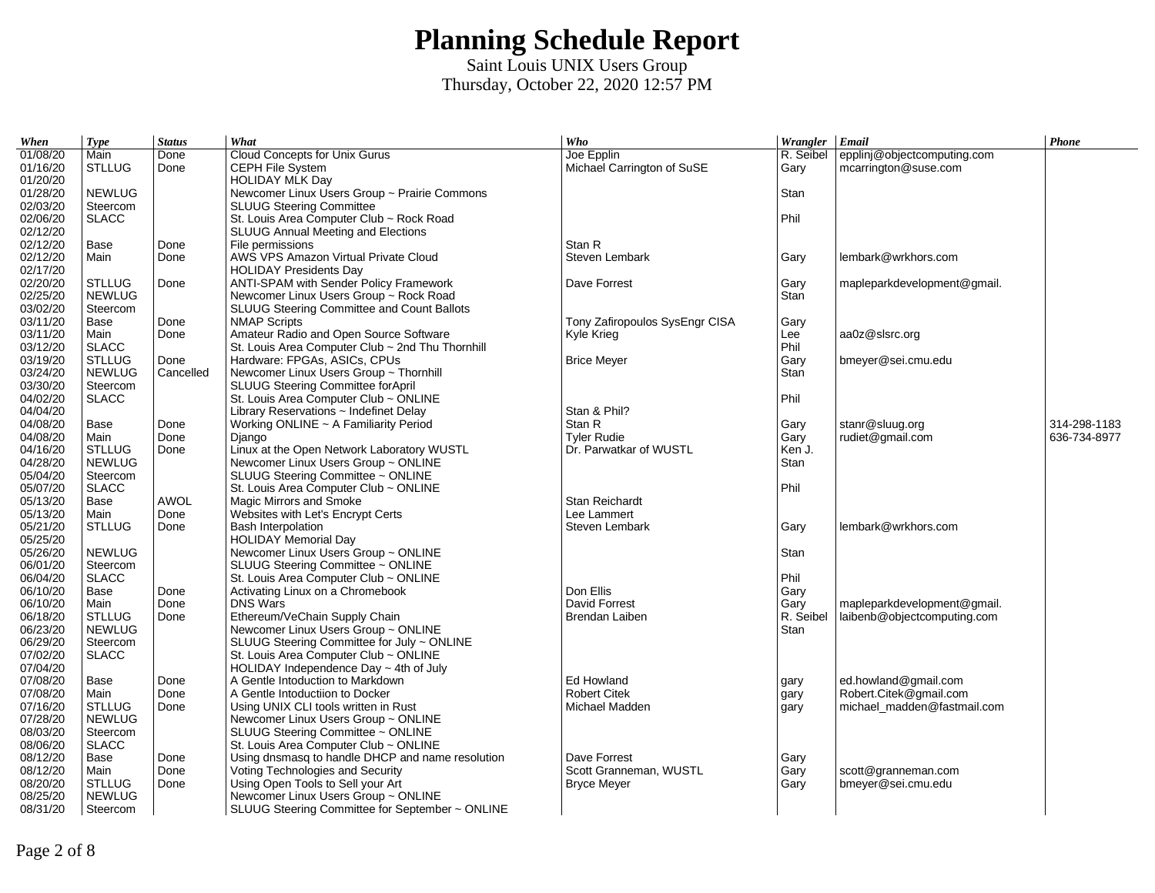| When     | <b>Type</b>   | <b>Status</b> | What                                                | Who                            | Wrangler Email    |                             | Phone        |
|----------|---------------|---------------|-----------------------------------------------------|--------------------------------|-------------------|-----------------------------|--------------|
| 01/08/20 | Main          | Done          | Cloud Concepts for Unix Gurus                       | Joe Epplin                     | R. Seibel         | epplinj@objectcomputing.com |              |
| 01/16/20 | <b>STLLUG</b> | Done          | CEPH File System                                    | Michael Carrington of SuSE     | Gary              | mcarrington@suse.com        |              |
| 01/20/20 |               |               | <b>HOLIDAY MLK Day</b>                              |                                |                   |                             |              |
| 01/28/20 | <b>NEWLUG</b> |               | Newcomer Linux Users Group ~ Prairie Commons        |                                | Stan              |                             |              |
| 02/03/20 | Steercom      |               | <b>SLUUG Steering Committee</b>                     |                                |                   |                             |              |
| 02/06/20 | <b>SLACC</b>  |               | St. Louis Area Computer Club ~ Rock Road            |                                | Phil              |                             |              |
| 02/12/20 |               |               | <b>SLUUG Annual Meeting and Elections</b>           |                                |                   |                             |              |
| 02/12/20 | Base          | Done          | File permissions                                    | Stan R                         |                   |                             |              |
| 02/12/20 | Main          | Done          | AWS VPS Amazon Virtual Private Cloud                | Steven Lembark                 | Gary              | lembark@wrkhors.com         |              |
| 02/17/20 |               |               | <b>HOLIDAY Presidents Day</b>                       |                                |                   |                             |              |
| 02/20/20 | <b>STLLUG</b> | Done          | ANTI-SPAM with Sender Policy Framework              | Dave Forrest                   | Gary              | mapleparkdevelopment@gmail. |              |
| 02/25/20 | <b>NEWLUG</b> |               | Newcomer Linux Users Group ~ Rock Road              |                                | Stan              |                             |              |
| 03/02/20 | Steercom      |               | <b>SLUUG Steering Committee and Count Ballots</b>   |                                |                   |                             |              |
| 03/11/20 | Base          | Done          | <b>NMAP Scripts</b>                                 | Tony Zafiropoulos SysEngr CISA | Gary              |                             |              |
| 03/11/20 | Main          | Done          | Amateur Radio and Open Source Software              | Kyle Krieg                     | Lee               | aa0z@slsrc.org              |              |
| 03/12/20 | <b>SLACC</b>  |               | St. Louis Area Computer Club ~ 2nd Thu Thornhill    |                                | Phil              |                             |              |
| 03/19/20 | <b>STLLUG</b> | Done          | Hardware: FPGAs, ASICs, CPUs                        | <b>Brice Meyer</b>             | Gary              | bmeyer@sei.cmu.edu          |              |
| 03/24/20 | <b>NEWLUG</b> | Cancelled     | Newcomer Linux Users Group ~ Thornhill              |                                | Stan              |                             |              |
| 03/30/20 | Steercom      |               | SLUUG Steering Committee forApril                   |                                |                   |                             |              |
| 04/02/20 | <b>SLACC</b>  |               | St. Louis Area Computer Club ~ ONLINE               |                                | Phil              |                             |              |
| 04/04/20 |               |               | Library Reservations $\sim$ Indefinet Delay         | Stan & Phil?                   |                   |                             |              |
| 04/08/20 | Base          | Done          | Working ONLINE ~ A Familiarity Period               | Stan R                         | Gary              | stanr@sluug.org             | 314-298-1183 |
| 04/08/20 | Main          | Done          | Django                                              | <b>Tyler Rudie</b>             | Gary              | rudiet@gmail.com            | 636-734-8977 |
| 04/16/20 | <b>STLLUG</b> | Done          | Linux at the Open Network Laboratory WUSTL          | Dr. Parwatkar of WUSTL         | Ken J.            |                             |              |
| 04/28/20 | <b>NEWLUG</b> |               | Newcomer Linux Users Group ~ ONLINE                 |                                | Stan              |                             |              |
| 05/04/20 | Steercom      |               | SLUUG Steering Committee ~ ONLINE                   |                                |                   |                             |              |
| 05/07/20 | <b>SLACC</b>  |               | St. Louis Area Computer Club ~ ONLINE               |                                | Phil              |                             |              |
| 05/13/20 | Base          | <b>AWOL</b>   | Magic Mirrors and Smoke                             | Stan Reichardt                 |                   |                             |              |
| 05/13/20 | Main          | Done          | Websites with Let's Encrypt Certs                   | Lee Lammert                    |                   |                             |              |
| 05/21/20 | <b>STLLUG</b> | Done          | <b>Bash Interpolation</b>                           | Steven Lembark                 | Gary              | lembark@wrkhors.com         |              |
| 05/25/20 |               |               | <b>HOLIDAY Memorial Day</b>                         |                                |                   |                             |              |
| 05/26/20 | <b>NEWLUG</b> |               | Newcomer Linux Users Group ~ ONLINE                 |                                | Stan              |                             |              |
| 06/01/20 | Steercom      |               | SLUUG Steering Committee ~ ONLINE                   |                                |                   |                             |              |
| 06/04/20 | <b>SLACC</b>  |               | St. Louis Area Computer Club ~ ONLINE               |                                | Phil              |                             |              |
|          |               |               |                                                     |                                |                   |                             |              |
| 06/10/20 | Base<br>Main  | Done<br>Done  | Activating Linux on a Chromebook<br><b>DNS Wars</b> | Don Ellis                      | Gary              |                             |              |
| 06/10/20 |               |               |                                                     | David Forrest                  | Gary<br>R. Seibel | mapleparkdevelopment@gmail. |              |
| 06/18/20 | <b>STLLUG</b> | Done          | Ethereum/VeChain Supply Chain                       | Brendan Laiben                 |                   | laibenb@objectcomputing.com |              |
| 06/23/20 | <b>NEWLUG</b> |               | Newcomer Linux Users Group ~ ONLINE                 |                                | Stan              |                             |              |
| 06/29/20 | Steercom      |               | SLUUG Steering Committee for July ~ ONLINE          |                                |                   |                             |              |
| 07/02/20 | <b>SLACC</b>  |               | St. Louis Area Computer Club ~ ONLINE               |                                |                   |                             |              |
| 07/04/20 |               |               | HOLIDAY Independence Day $\sim$ 4th of July         |                                |                   |                             |              |
| 07/08/20 | Base          | Done          | A Gentle Intoduction to Markdown                    | Ed Howland                     | gary              | ed.howland@gmail.com        |              |
| 07/08/20 | Main          | Done          | A Gentle Intoductiion to Docker                     | <b>Robert Citek</b>            | gary              | Robert.Citek@gmail.com      |              |
| 07/16/20 | <b>STLLUG</b> | Done          | Using UNIX CLI tools written in Rust                | Michael Madden                 | gary              | michael madden@fastmail.com |              |
| 07/28/20 | <b>NEWLUG</b> |               | Newcomer Linux Users Group ~ ONLINE                 |                                |                   |                             |              |
| 08/03/20 | Steercom      |               | SLUUG Steering Committee ~ ONLINE                   |                                |                   |                             |              |
| 08/06/20 | <b>SLACC</b>  |               | St. Louis Area Computer Club ~ ONLINE               |                                |                   |                             |              |
| 08/12/20 | Base          | Done          | Using dnsmasg to handle DHCP and name resolution    | Dave Forrest                   | Gary              |                             |              |
| 08/12/20 | Main          | Done          | Voting Technologies and Security                    | Scott Granneman, WUSTL         | Gary              | scott@granneman.com         |              |
| 08/20/20 | <b>STLLUG</b> | Done          | Using Open Tools to Sell your Art                   | <b>Bryce Meyer</b>             | Gary              | bmeyer@sei.cmu.edu          |              |
| 08/25/20 | <b>NEWLUG</b> |               | Newcomer Linux Users Group ~ ONLINE                 |                                |                   |                             |              |
| 08/31/20 | Steercom      |               | SLUUG Steering Committee for September ~ ONLINE     |                                |                   |                             |              |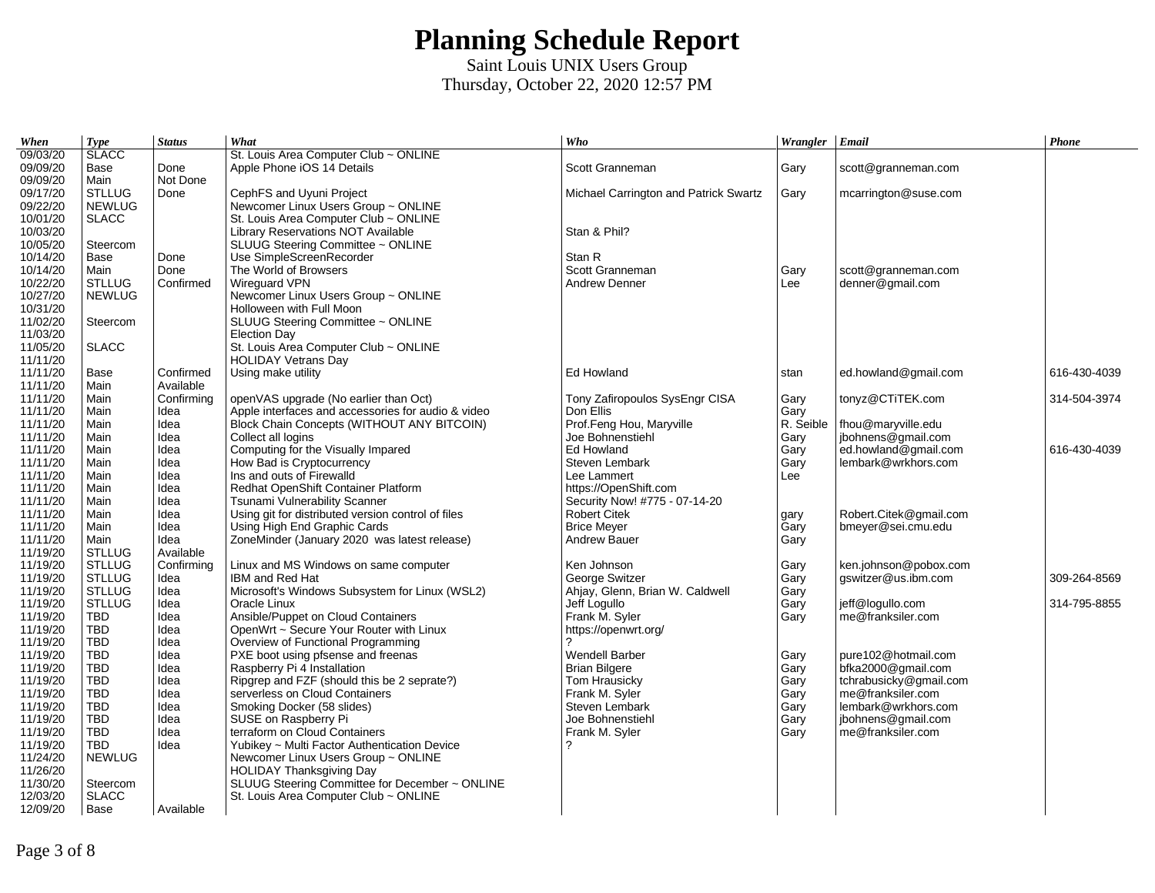| When     | <b>Type</b>                   | <b>Status</b> | What                                               | Who                                   | Wrangler Email |                        | Phone        |
|----------|-------------------------------|---------------|----------------------------------------------------|---------------------------------------|----------------|------------------------|--------------|
| 09/03/20 | <b>SLACC</b>                  |               | St. Louis Area Computer Club ~ ONLINE              |                                       |                |                        |              |
| 09/09/20 | Base                          | Done          | Apple Phone iOS 14 Details                         | Scott Granneman                       | Gary           | scott@granneman.com    |              |
| 09/09/20 | Main                          | Not Done      |                                                    |                                       |                |                        |              |
| 09/17/20 | <b>STLLUG</b>                 | Done          | CephFS and Uyuni Project                           | Michael Carrington and Patrick Swartz | Gary           | mcarrington@suse.com   |              |
| 09/22/20 | <b>NEWLUG</b>                 |               | Newcomer Linux Users Group ~ ONLINE                |                                       |                |                        |              |
| 10/01/20 | <b>SLACC</b>                  |               | St. Louis Area Computer Club ~ ONLINE              |                                       |                |                        |              |
| 10/03/20 |                               |               | Library Reservations NOT Available                 | Stan & Phil?                          |                |                        |              |
| 10/05/20 | Steercom                      |               | SLUUG Steering Committee ~ ONLINE                  |                                       |                |                        |              |
| 10/14/20 | Base                          | Done          | Use SimpleScreenRecorder                           | Stan R                                |                |                        |              |
| 10/14/20 | Main                          | Done          | The World of Browsers                              | Scott Granneman                       | Gary           | scott@granneman.com    |              |
| 10/22/20 | <b>STLLUG</b>                 | Confirmed     | Wireguard VPN                                      | <b>Andrew Denner</b>                  | Lee            | denner@gmail.com       |              |
| 10/27/20 | <b>NEWLUG</b>                 |               | Newcomer Linux Users Group ~ ONLINE                |                                       |                |                        |              |
| 10/31/20 |                               |               | Holloween with Full Moon                           |                                       |                |                        |              |
| 11/02/20 | Steercom                      |               | SLUUG Steering Committee ~ ONLINE                  |                                       |                |                        |              |
| 11/03/20 |                               |               | <b>Election Day</b>                                |                                       |                |                        |              |
| 11/05/20 | <b>SLACC</b>                  |               | St. Louis Area Computer Club ~ ONLINE              |                                       |                |                        |              |
| 11/11/20 |                               |               | <b>HOLIDAY Vetrans Day</b>                         |                                       |                |                        |              |
| 11/11/20 | Base                          | Confirmed     | Using make utility                                 | Ed Howland                            | stan           | ed.howland@gmail.com   | 616-430-4039 |
| 11/11/20 | Main                          | Available     |                                                    |                                       |                |                        |              |
| 11/11/20 | Main                          | Confirming    | openVAS upgrade (No earlier than Oct)              | Tony Zafiropoulos SysEngr CISA        |                |                        | 314-504-3974 |
| 11/11/20 | Main                          | Idea          | Apple interfaces and accessories for audio & video | Don Ellis                             | Gary<br>Gary   | tonyz@CTiTEK.com       |              |
| 11/11/20 | Main                          | Idea          | Block Chain Concepts (WITHOUT ANY BITCOIN)         | Prof.Feng Hou, Maryville              | R. Seible      | fhou@maryville.edu     |              |
| 11/11/20 | Main                          | Idea          | Collect all logins                                 | Joe Bohnenstiehl                      | Gary           | jbohnens@gmail.com     |              |
| 11/11/20 | Main                          | Idea          | Computing for the Visually Impared                 | Ed Howland                            |                | ed.howland@gmail.com   | 616-430-4039 |
|          |                               |               |                                                    |                                       | Gary           |                        |              |
| 11/11/20 | Main                          | Idea          | How Bad is Cryptocurrency                          | Steven Lembark                        | Gary           | lembark@wrkhors.com    |              |
| 11/11/20 | Main                          | Idea          | Ins and outs of Firewalld                          | Lee Lammert                           | Lee            |                        |              |
| 11/11/20 | Main                          | Idea          | Redhat OpenShift Container Platform                | https://OpenShift.com                 |                |                        |              |
| 11/11/20 | Main                          | Idea          | Tsunami Vulnerability Scanner                      | Security Now! #775 - 07-14-20         |                |                        |              |
| 11/11/20 | Main                          | Idea          | Using git for distributed version control of files | <b>Robert Citek</b>                   | gary           | Robert.Citek@gmail.com |              |
| 11/11/20 | Main                          | Idea          | Using High End Graphic Cards                       | <b>Brice Meyer</b>                    | Gary           | bmeyer@sei.cmu.edu     |              |
| 11/11/20 | Main                          | Idea          | ZoneMinder (January 2020 was latest release)       | <b>Andrew Bauer</b>                   | Gary           |                        |              |
| 11/19/20 | <b>STLLUG</b>                 | Available     |                                                    |                                       |                |                        |              |
| 11/19/20 | <b>STLLUG</b>                 | Confirming    | Linux and MS Windows on same computer              | Ken Johnson                           | Gary           | ken.johnson@pobox.com  |              |
| 11/19/20 | <b>STLLUG</b>                 | Idea          | <b>IBM and Red Hat</b>                             | George Switzer                        | Gary           | gswitzer@us.ibm.com    | 309-264-8569 |
| 11/19/20 | <b>STLLUG</b>                 | Idea          | Microsoft's Windows Subsystem for Linux (WSL2)     | Ahjay, Glenn, Brian W. Caldwell       | Gary           |                        |              |
| 11/19/20 | <b>STLLUG</b>                 | Idea          | Oracle Linux                                       | Jeff Logullo                          | Gary           | jeff@logullo.com       | 314-795-8855 |
| 11/19/20 | <b>TBD</b>                    | Idea          | Ansible/Puppet on Cloud Containers                 | Frank M. Syler                        | Gary           | me@franksiler.com      |              |
| 11/19/20 | <b>TBD</b>                    | Idea          | OpenWrt ~ Secure Your Router with Linux            | https://openwrt.org/                  |                |                        |              |
| 11/19/20 | <b>TBD</b>                    | Idea          | Overview of Functional Programming                 |                                       |                |                        |              |
| 11/19/20 | <b>TBD</b>                    | Idea          | PXE boot using pfsense and freenas                 | <b>Wendell Barber</b>                 | Gary           | pure102@hotmail.com    |              |
| 11/19/20 | <b>TBD</b>                    | Idea          | Raspberry Pi 4 Installation                        | <b>Brian Bilgere</b>                  | Gary           | bfka2000@gmail.com     |              |
| 11/19/20 | <b>TBD</b>                    | Idea          | Ripgrep and FZF (should this be 2 seprate?)        | Tom Hrausicky                         | Gary           | tchrabusicky@gmail.com |              |
| 11/19/20 | <b>TBD</b>                    | Idea          | serverless on Cloud Containers                     | Frank M. Syler                        | Garv           | me@franksiler.com      |              |
| 11/19/20 | <b>TBD</b>                    | Idea          | Smoking Docker (58 slides)                         | Steven Lembark                        | Gary           | lembark@wrkhors.com    |              |
| 11/19/20 | <b>TBD</b>                    | Idea          | SUSE on Raspberry Pi                               | Joe Bohnenstiehl                      | Garv           | jbohnens@gmail.com     |              |
| 11/19/20 | <b>TBD</b>                    | Idea          | terraform on Cloud Containers                      | Frank M. Syler                        | Gary           | me@franksiler.com      |              |
| 11/19/20 | <b>TBD</b>                    | Idea          | Yubikey ~ Multi Factor Authentication Device       |                                       |                |                        |              |
| 11/24/20 | <b>NEWLUG</b>                 |               | Newcomer Linux Users Group ~ ONLINE                |                                       |                |                        |              |
| 11/26/20 |                               |               | <b>HOLIDAY Thanksgiving Day</b>                    |                                       |                |                        |              |
| 11/30/20 | Steercom                      |               | SLUUG Steering Committee for December ~ ONLINE     |                                       |                |                        |              |
| 12/03/20 | $\ensuremath{\mathsf{SLACC}}$ |               | St. Louis Area Computer Club ~ ONLINE              |                                       |                |                        |              |
| 12/09/20 | Base                          | Available     |                                                    |                                       |                |                        |              |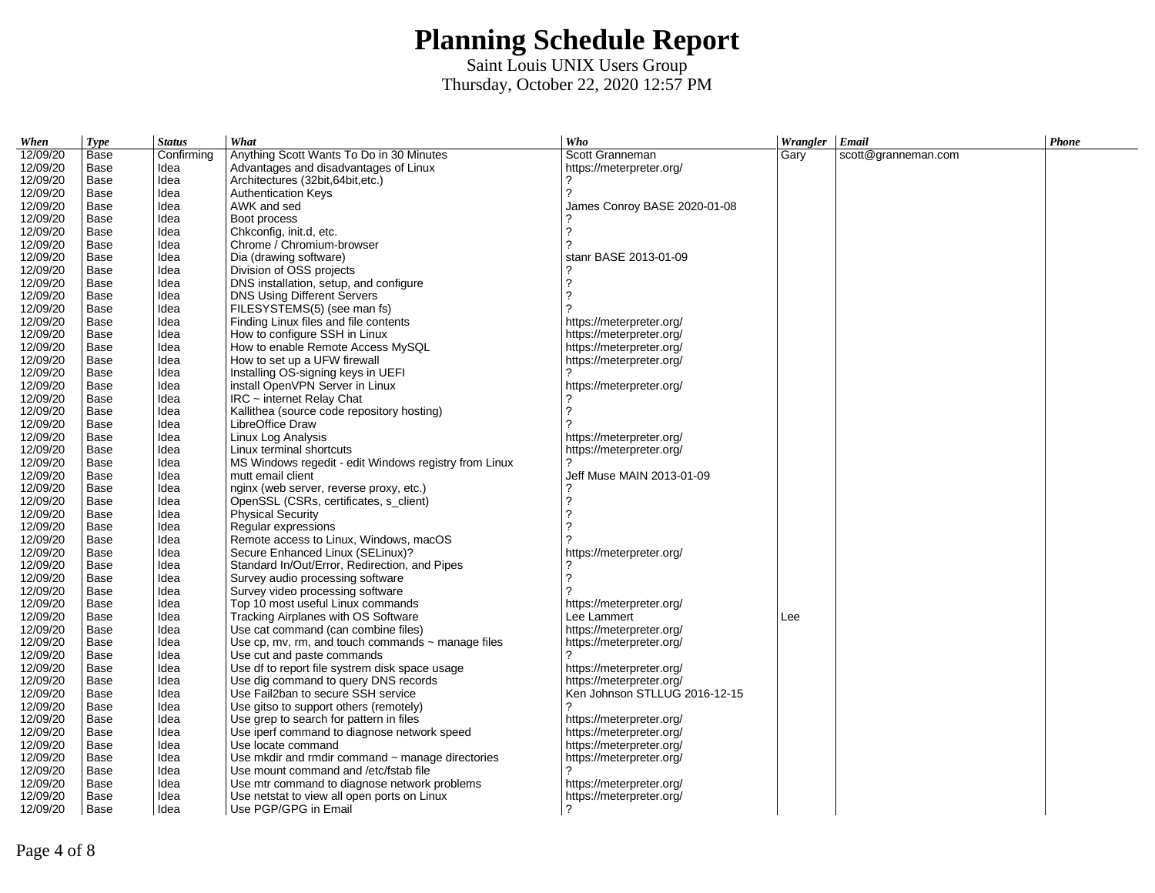| When     | <b>Type</b> | <b>Status</b> | What                                                   | Who                           | Wrangler Email |                     | Phone |
|----------|-------------|---------------|--------------------------------------------------------|-------------------------------|----------------|---------------------|-------|
| 12/09/20 | Base        | Confirming    | Anything Scott Wants To Do in 30 Minutes               | Scott Granneman               | Gary           | scott@granneman.com |       |
| 12/09/20 | Base        | Idea          | Advantages and disadvantages of Linux                  | https://meterpreter.org/      |                |                     |       |
| 12/09/20 | Base        | Idea          | Architectures (32bit, 64bit, etc.)                     |                               |                |                     |       |
| 12/09/20 | Base        | Idea          | <b>Authentication Keys</b>                             | 2                             |                |                     |       |
| 12/09/20 | Base        | Idea          | AWK and sed                                            | James Conroy BASE 2020-01-08  |                |                     |       |
| 12/09/20 | Base        | Idea          | Boot process                                           |                               |                |                     |       |
| 12/09/20 | Base        | Idea          | Chkconfig, init.d, etc.                                | 2                             |                |                     |       |
| 12/09/20 | Base        | Idea          | Chrome / Chromium-browser                              | 2                             |                |                     |       |
| 12/09/20 | Base        | Idea          | Dia (drawing software)                                 | stanr BASE 2013-01-09         |                |                     |       |
| 12/09/20 | Base        | Idea          | Division of OSS projects                               |                               |                |                     |       |
| 12/09/20 | Base        | Idea          | DNS installation, setup, and configure                 | 2                             |                |                     |       |
| 12/09/20 | Base        | Idea          | <b>DNS Using Different Servers</b>                     | 2                             |                |                     |       |
| 12/09/20 | Base        | Idea          | FILESYSTEMS(5) (see man fs)                            | っ                             |                |                     |       |
| 12/09/20 | Base        | Idea          | Finding Linux files and file contents                  | https://meterpreter.org/      |                |                     |       |
| 12/09/20 | Base        | Idea          | How to configure SSH in Linux                          | https://meterpreter.org/      |                |                     |       |
| 12/09/20 | Base        | Idea          | How to enable Remote Access MySOL                      | https://meterpreter.org/      |                |                     |       |
| 12/09/20 | Base        | Idea          | How to set up a UFW firewall                           | https://meterpreter.org/      |                |                     |       |
| 12/09/20 | Base        | Idea          | Installing OS-signing keys in UEFI                     | 2                             |                |                     |       |
| 12/09/20 | Base        | Idea          | install OpenVPN Server in Linux                        | https://meterpreter.org/      |                |                     |       |
| 12/09/20 | Base        | Idea          | IRC ~ internet Relay Chat                              |                               |                |                     |       |
| 12/09/20 | Base        | Idea          | Kallithea (source code repository hosting)             | 2                             |                |                     |       |
| 12/09/20 | Base        | Idea          | LibreOffice Draw                                       |                               |                |                     |       |
| 12/09/20 | Base        | Idea          | Linux Log Analysis                                     | https://meterpreter.org/      |                |                     |       |
| 12/09/20 | Base        | Idea          | Linux terminal shortcuts                               | https://meterpreter.org/      |                |                     |       |
| 12/09/20 | Base        | Idea          | MS Windows regedit - edit Windows registry from Linux  | っ                             |                |                     |       |
| 12/09/20 | Base        | Idea          | mutt email client                                      | Jeff Muse MAIN 2013-01-09     |                |                     |       |
| 12/09/20 | Base        | Idea          | nginx (web server, reverse proxy, etc.)                |                               |                |                     |       |
| 12/09/20 | Base        | Idea          | OpenSSL (CSRs, certificates, s client)                 | ?                             |                |                     |       |
| 12/09/20 | Base        | Idea          | <b>Physical Security</b>                               | 2                             |                |                     |       |
| 12/09/20 | Base        | Idea          | Regular expressions                                    | っ                             |                |                     |       |
| 12/09/20 | Base        | Idea          | Remote access to Linux, Windows, macOS                 |                               |                |                     |       |
| 12/09/20 | Base        | Idea          | Secure Enhanced Linux (SELinux)?                       | https://meterpreter.org/      |                |                     |       |
| 12/09/20 | Base        | Idea          | Standard In/Out/Error, Redirection, and Pipes          |                               |                |                     |       |
| 12/09/20 | Base        | Idea          | Survey audio processing software                       | 2                             |                |                     |       |
| 12/09/20 | Base        | Idea          | Survey video processing software                       |                               |                |                     |       |
| 12/09/20 | Base        | Idea          | Top 10 most useful Linux commands                      | https://meterpreter.org/      |                |                     |       |
| 12/09/20 | Base        | Idea          | Tracking Airplanes with OS Software                    | Lee Lammert                   | Lee            |                     |       |
| 12/09/20 | Base        | Idea          | Use cat command (can combine files)                    | https://meterpreter.org/      |                |                     |       |
| 12/09/20 | Base        | Idea          | Use cp, mv, rm, and touch commands $\sim$ manage files | https://meterpreter.org/      |                |                     |       |
| 12/09/20 | Base        | Idea          | Use cut and paste commands                             | 2                             |                |                     |       |
| 12/09/20 | Base        | Idea          | Use df to report file systrem disk space usage         | https://meterpreter.org/      |                |                     |       |
| 12/09/20 | Base        | Idea          | Use dig command to query DNS records                   | https://meterpreter.org/      |                |                     |       |
| 12/09/20 | Base        | Idea          | Use Fail2ban to secure SSH service                     | Ken Johnson STLLUG 2016-12-15 |                |                     |       |
| 12/09/20 | Base        | Idea          | Use gitso to support others (remotely)                 |                               |                |                     |       |
| 12/09/20 | Base        | Idea          | Use grep to search for pattern in files                | https://meterpreter.org/      |                |                     |       |
| 12/09/20 | Base        | Idea          | Use iperf command to diagnose network speed            | https://meterpreter.org/      |                |                     |       |
| 12/09/20 | Base        | Idea          | Use locate command                                     | https://meterpreter.org/      |                |                     |       |
| 12/09/20 | Base        | Idea          | Use mkdir and rmdir command $\sim$ manage directories  | https://meterpreter.org/      |                |                     |       |
| 12/09/20 | Base        | Idea          | Use mount command and /etc/fstab file                  | 2                             |                |                     |       |
| 12/09/20 | Base        | Idea          | Use mtr command to diagnose network problems           | https://meterpreter.org/      |                |                     |       |
| 12/09/20 | Base        | Idea          | Use netstat to view all open ports on Linux            | https://meterpreter.org/      |                |                     |       |
| 12/09/20 | Base        | Idea          | Use PGP/GPG in Email                                   | 2                             |                |                     |       |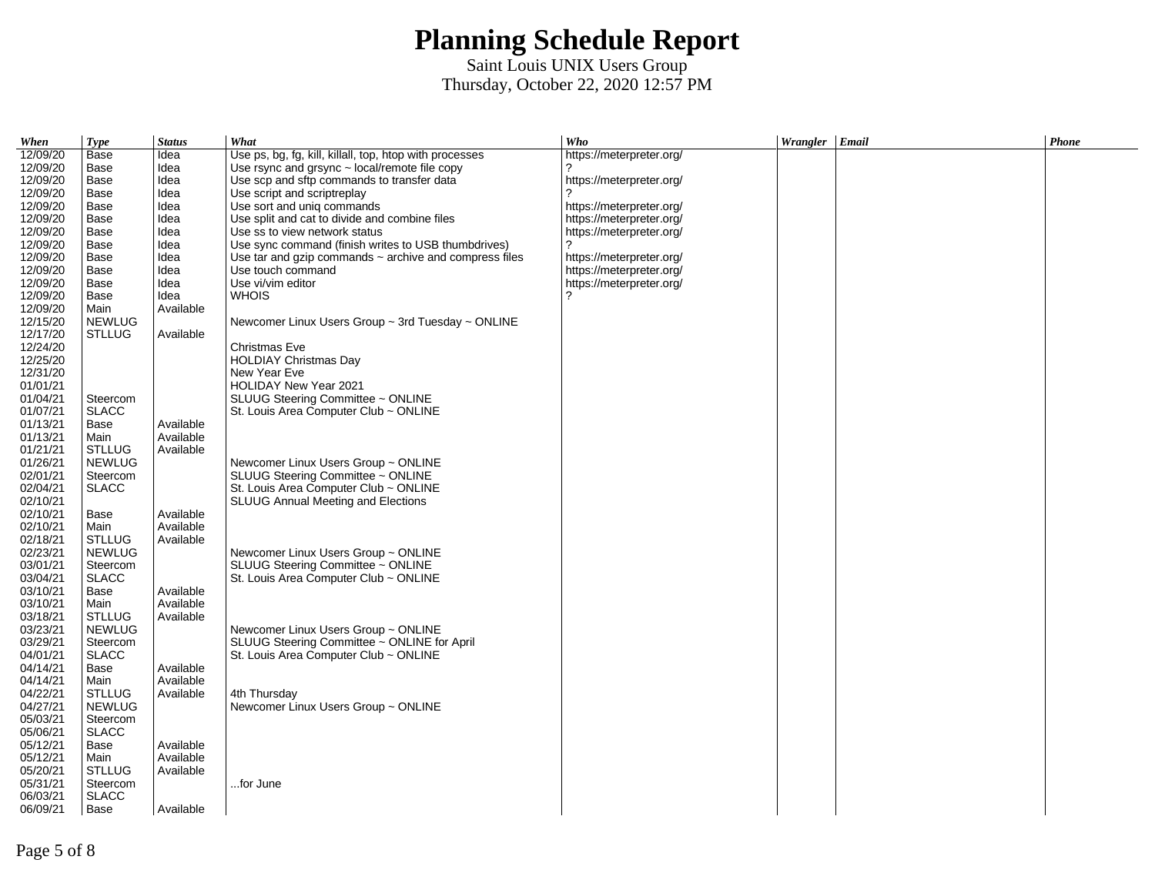| When     | <b>Type</b>   | <b>Status</b> | What                                                        | Who                      | Wrangler Email | Phone |
|----------|---------------|---------------|-------------------------------------------------------------|--------------------------|----------------|-------|
| 12/09/20 | Base          | Idea          | Use ps, bg, fg, kill, killall, top, htop with processes     | https://meterpreter.org/ |                |       |
| 12/09/20 | Base          | Idea          | Use rsync and grsync $\sim$ local/remote file copy          |                          |                |       |
| 12/09/20 | Base          | Idea          | Use scp and sftp commands to transfer data                  | https://meterpreter.org/ |                |       |
| 12/09/20 | Base          | Idea          | Use script and scriptreplay                                 | 2                        |                |       |
| 12/09/20 | Base          | Idea          | Use sort and unig commands                                  | https://meterpreter.org/ |                |       |
| 12/09/20 | Base          | Idea          | Use split and cat to divide and combine files               | https://meterpreter.org/ |                |       |
| 12/09/20 | Base          | Idea          | Use ss to view network status                               | https://meterpreter.org/ |                |       |
| 12/09/20 | Base          | Idea          | Use sync command (finish writes to USB thumbdrives)         | 2                        |                |       |
| 12/09/20 | Base          | Idea          | Use tar and gzip commands $\sim$ archive and compress files | https://meterpreter.org/ |                |       |
| 12/09/20 | Base          | Idea          | Use touch command                                           | https://meterpreter.org/ |                |       |
| 12/09/20 | Base          | Idea          | Use vi/vim editor                                           | https://meterpreter.org/ |                |       |
| 12/09/20 | Base          | Idea          | <b>WHOIS</b>                                                | 2                        |                |       |
|          |               |               |                                                             |                          |                |       |
| 12/09/20 | Main          | Available     |                                                             |                          |                |       |
| 12/15/20 | <b>NEWLUG</b> |               | Newcomer Linux Users Group $\sim$ 3rd Tuesday $\sim$ ONLINE |                          |                |       |
| 12/17/20 | <b>STLLUG</b> | Available     |                                                             |                          |                |       |
| 12/24/20 |               |               | Christmas Eve                                               |                          |                |       |
| 12/25/20 |               |               | <b>HOLDIAY Christmas Day</b>                                |                          |                |       |
| 12/31/20 |               |               | New Year Eve                                                |                          |                |       |
| 01/01/21 |               |               | HOLIDAY New Year 2021                                       |                          |                |       |
| 01/04/21 | Steercom      |               | SLUUG Steering Committee ~ ONLINE                           |                          |                |       |
| 01/07/21 | <b>SLACC</b>  |               | St. Louis Area Computer Club ~ ONLINE                       |                          |                |       |
| 01/13/21 | Base          | Available     |                                                             |                          |                |       |
| 01/13/21 | Main          | Available     |                                                             |                          |                |       |
| 01/21/21 | <b>STLLUG</b> | Available     |                                                             |                          |                |       |
| 01/26/21 | <b>NEWLUG</b> |               | Newcomer Linux Users Group ~ ONLINE                         |                          |                |       |
| 02/01/21 | Steercom      |               | SLUUG Steering Committee ~ ONLINE                           |                          |                |       |
| 02/04/21 | <b>SLACC</b>  |               | St. Louis Area Computer Club ~ ONLINE                       |                          |                |       |
| 02/10/21 |               |               | SLUUG Annual Meeting and Elections                          |                          |                |       |
| 02/10/21 | Base          | Available     |                                                             |                          |                |       |
| 02/10/21 | Main          | Available     |                                                             |                          |                |       |
| 02/18/21 | <b>STLLUG</b> | Available     |                                                             |                          |                |       |
| 02/23/21 | <b>NEWLUG</b> |               | Newcomer Linux Users Group ~ ONLINE                         |                          |                |       |
| 03/01/21 | Steercom      |               | SLUUG Steering Committee ~ ONLINE                           |                          |                |       |
| 03/04/21 | <b>SLACC</b>  |               | St. Louis Area Computer Club ~ ONLINE                       |                          |                |       |
| 03/10/21 | Base          | Available     |                                                             |                          |                |       |
| 03/10/21 | Main          | Available     |                                                             |                          |                |       |
| 03/18/21 | <b>STLLUG</b> | Available     |                                                             |                          |                |       |
| 03/23/21 | <b>NEWLUG</b> |               | Newcomer Linux Users Group ~ ONLINE                         |                          |                |       |
| 03/29/21 | Steercom      |               | SLUUG Steering Committee ~ ONLINE for April                 |                          |                |       |
| 04/01/21 | <b>SLACC</b>  |               | St. Louis Area Computer Club ~ ONLINE                       |                          |                |       |
| 04/14/21 | Base          | Available     |                                                             |                          |                |       |
|          |               | Available     |                                                             |                          |                |       |
| 04/14/21 | Main          |               |                                                             |                          |                |       |
| 04/22/21 | <b>STLLUG</b> | Available     | 4th Thursday                                                |                          |                |       |
| 04/27/21 | <b>NEWLUG</b> |               | Newcomer Linux Users Group ~ ONLINE                         |                          |                |       |
| 05/03/21 | Steercom      |               |                                                             |                          |                |       |
| 05/06/21 | <b>SLACC</b>  |               |                                                             |                          |                |       |
| 05/12/21 | Base          | Available     |                                                             |                          |                |       |
| 05/12/21 | Main          | Available     |                                                             |                          |                |       |
| 05/20/21 | <b>STLLUG</b> | Available     |                                                             |                          |                |       |
| 05/31/21 | Steercom      |               | for June                                                    |                          |                |       |
| 06/03/21 | <b>SLACC</b>  |               |                                                             |                          |                |       |
| 06/09/21 | Base          | Available     |                                                             |                          |                |       |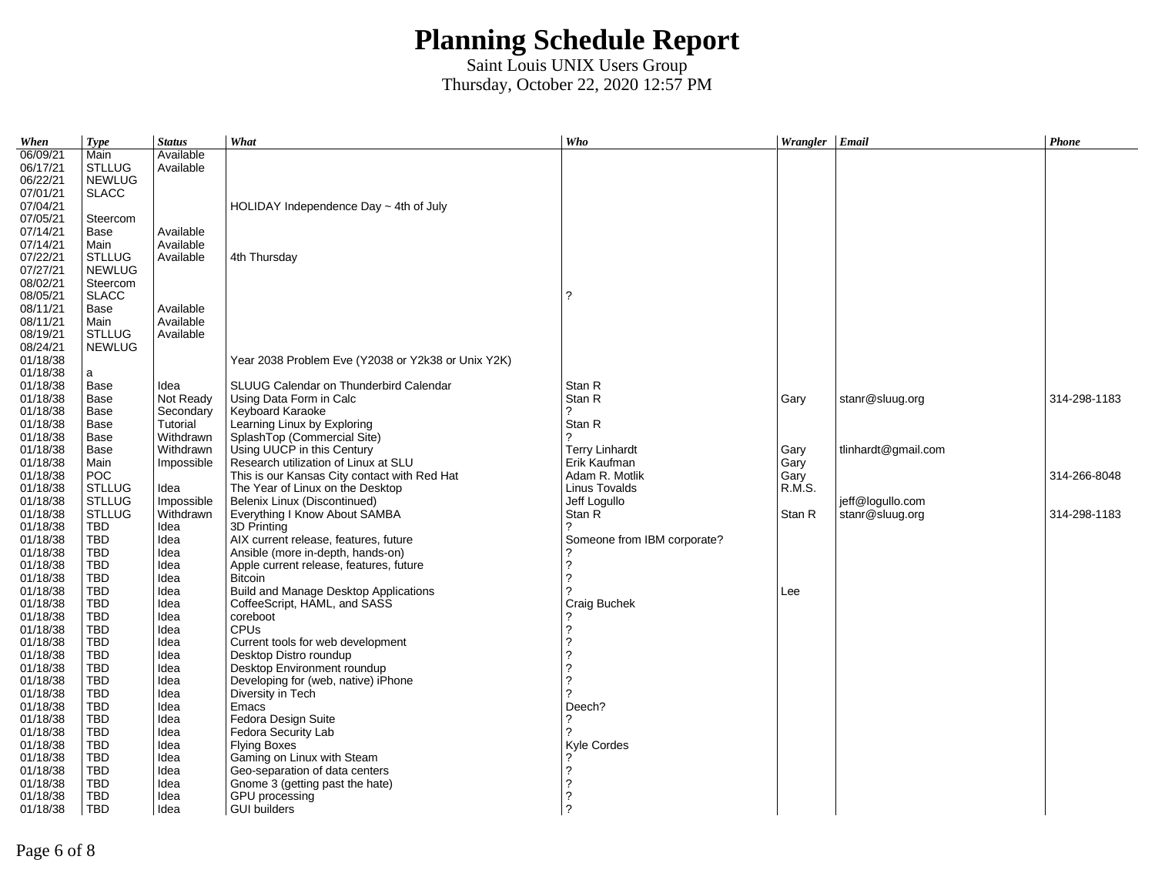| When     | <b>Type</b>   | <b>Status</b> | What                                               | Who                         | Wrangler Email |                     | Phone        |
|----------|---------------|---------------|----------------------------------------------------|-----------------------------|----------------|---------------------|--------------|
| 06/09/21 | Main          | Available     |                                                    |                             |                |                     |              |
| 06/17/21 | <b>STLLUG</b> | Available     |                                                    |                             |                |                     |              |
| 06/22/21 | <b>NEWLUG</b> |               |                                                    |                             |                |                     |              |
| 07/01/21 | <b>SLACC</b>  |               |                                                    |                             |                |                     |              |
| 07/04/21 |               |               | HOLIDAY Independence Day $\sim$ 4th of July        |                             |                |                     |              |
| 07/05/21 | Steercom      |               |                                                    |                             |                |                     |              |
| 07/14/21 | Base          | Available     |                                                    |                             |                |                     |              |
| 07/14/21 | Main          | Available     |                                                    |                             |                |                     |              |
| 07/22/21 | <b>STLLUG</b> | Available     | 4th Thursday                                       |                             |                |                     |              |
| 07/27/21 | <b>NEWLUG</b> |               |                                                    |                             |                |                     |              |
| 08/02/21 | Steercom      |               |                                                    |                             |                |                     |              |
| 08/05/21 | <b>SLACC</b>  |               |                                                    | 2                           |                |                     |              |
| 08/11/21 | Base          | Available     |                                                    |                             |                |                     |              |
| 08/11/21 | Main          | Available     |                                                    |                             |                |                     |              |
| 08/19/21 | <b>STLLUG</b> | Available     |                                                    |                             |                |                     |              |
| 08/24/21 | <b>NEWLUG</b> |               |                                                    |                             |                |                     |              |
| 01/18/38 |               |               | Year 2038 Problem Eve (Y2038 or Y2k38 or Unix Y2K) |                             |                |                     |              |
| 01/18/38 | a             |               |                                                    |                             |                |                     |              |
| 01/18/38 | Base          | Idea          | SLUUG Calendar on Thunderbird Calendar             | Stan R                      |                |                     |              |
| 01/18/38 | Base          | Not Ready     | Using Data Form in Calc                            | Stan R                      | Gary           | stanr@sluug.org     | 314-298-1183 |
| 01/18/38 | Base          | Secondary     | Keyboard Karaoke                                   |                             |                |                     |              |
| 01/18/38 | Base          | Tutorial      | Learning Linux by Exploring                        | Stan R                      |                |                     |              |
| 01/18/38 | Base          | Withdrawn     | SplashTop (Commercial Site)                        | C                           |                |                     |              |
| 01/18/38 | Base          | Withdrawn     | Using UUCP in this Century                         | <b>Terry Linhardt</b>       | Gary           | tlinhardt@gmail.com |              |
| 01/18/38 | Main          | Impossible    | Research utilization of Linux at SLU               | Erik Kaufman                | Gary           |                     |              |
| 01/18/38 | <b>POC</b>    |               | This is our Kansas City contact with Red Hat       | Adam R. Motlik              | Gary           |                     | 314-266-8048 |
| 01/18/38 | <b>STLLUG</b> | Idea          | The Year of Linux on the Desktop                   | Linus Tovalds               | R.M.S.         |                     |              |
| 01/18/38 | <b>STLLUG</b> | Impossible    | Belenix Linux (Discontinued)                       | Jeff Logullo                |                | jeff@logullo.com    |              |
| 01/18/38 | <b>STLLUG</b> | Withdrawn     | Everything I Know About SAMBA                      | Stan R                      | Stan R         | stanr@sluug.org     | 314-298-1183 |
| 01/18/38 | TBD           | Idea          | 3D Printing                                        |                             |                |                     |              |
| 01/18/38 | TBD           | Idea          | AIX current release, features, future              | Someone from IBM corporate? |                |                     |              |
| 01/18/38 | <b>TBD</b>    | Idea          | Ansible (more in-depth, hands-on)                  |                             |                |                     |              |
| 01/18/38 | <b>TBD</b>    | Idea          | Apple current release, features, future            | 2                           |                |                     |              |
| 01/18/38 | <b>TBD</b>    | Idea          | <b>Bitcoin</b>                                     | 2                           |                |                     |              |
| 01/18/38 | <b>TBD</b>    | Idea          | Build and Manage Desktop Applications              |                             | Lee            |                     |              |
| 01/18/38 | <b>TBD</b>    | Idea          | CoffeeScript, HAML, and SASS                       | Craig Buchek                |                |                     |              |
| 01/18/38 | <b>TBD</b>    | Idea          | coreboot                                           |                             |                |                     |              |
| 01/18/38 | <b>TBD</b>    | Idea          | <b>CPU<sub>s</sub></b>                             |                             |                |                     |              |
| 01/18/38 | <b>TBD</b>    | Idea          | Current tools for web development                  | 2                           |                |                     |              |
| 01/18/38 | <b>TBD</b>    | Idea          | Desktop Distro roundup                             |                             |                |                     |              |
| 01/18/38 | TBD           | Idea          | Desktop Environment roundup                        |                             |                |                     |              |
| 01/18/38 | <b>TBD</b>    | Idea          | Developing for (web, native) iPhone                | っ                           |                |                     |              |
| 01/18/38 | <b>TBD</b>    | Idea          | Diversity in Tech                                  |                             |                |                     |              |
| 01/18/38 | <b>TBD</b>    | Idea          | Emacs                                              | Deech?                      |                |                     |              |
| 01/18/38 | TBD           | Idea          | Fedora Design Suite                                | 2                           |                |                     |              |
| 01/18/38 | <b>TBD</b>    | Idea          | Fedora Security Lab                                |                             |                |                     |              |
| 01/18/38 | TBD           | Idea          | <b>Flying Boxes</b>                                | Kyle Cordes                 |                |                     |              |
| 01/18/38 | <b>TBD</b>    | Idea          | Gaming on Linux with Steam                         |                             |                |                     |              |
| 01/18/38 | <b>TBD</b>    | Idea          | Geo-separation of data centers                     | 2                           |                |                     |              |
| 01/18/38 | <b>TBD</b>    | Idea          | Gnome 3 (getting past the hate)                    |                             |                |                     |              |
| 01/18/38 | <b>TBD</b>    | Idea          | GPU processing                                     |                             |                |                     |              |
| 01/18/38 | <b>TBD</b>    | Idea          | <b>GUI builders</b>                                | 2                           |                |                     |              |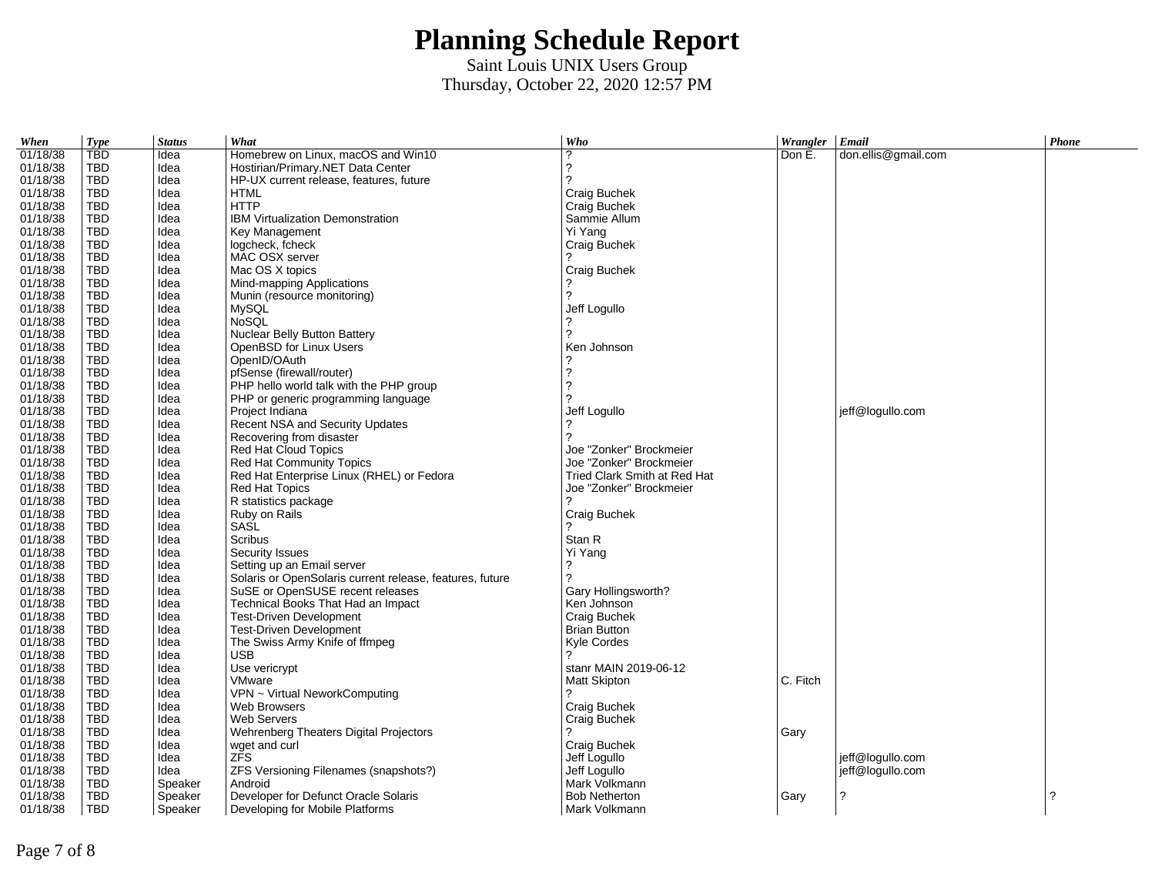| When     | <b>Type</b> | <b>Status</b> | What                                                     | Who                          | Wrangler | $E$ mail            | Phone |
|----------|-------------|---------------|----------------------------------------------------------|------------------------------|----------|---------------------|-------|
| 01/18/38 | <b>TBD</b>  | Idea          | Homebrew on Linux, macOS and Win10                       | 2                            | Don E.   | don.ellis@gmail.com |       |
| 01/18/38 | TBD         | Idea          | Hostirian/Primary.NET Data Center                        | ?                            |          |                     |       |
| 01/18/38 | <b>TBD</b>  | Idea          | HP-UX current release, features, future                  | 2                            |          |                     |       |
| 01/18/38 | TBD         | Idea          | <b>HTML</b>                                              | Craig Buchek                 |          |                     |       |
| 01/18/38 | <b>TBD</b>  | Idea          | <b>HTTP</b>                                              | Craig Buchek                 |          |                     |       |
| 01/18/38 | TBD         | Idea          | IBM Virtualization Demonstration                         | Sammie Allum                 |          |                     |       |
| 01/18/38 | TBD         | Idea          | Key Management                                           | Yi Yang                      |          |                     |       |
| 01/18/38 | <b>TBD</b>  | Idea          | logcheck, fcheck                                         | Craig Buchek                 |          |                     |       |
| 01/18/38 | TBD         | Idea          | MAC OSX server                                           |                              |          |                     |       |
| 01/18/38 | <b>TBD</b>  | Idea          | Mac OS X topics                                          | Craig Buchek                 |          |                     |       |
| 01/18/38 | TBD         | Idea          | Mind-mapping Applications                                |                              |          |                     |       |
| 01/18/38 | TBD         | Idea          | Munin (resource monitoring)                              | 2                            |          |                     |       |
| 01/18/38 | TBD         | Idea          | <b>MySQL</b>                                             | Jeff Logullo                 |          |                     |       |
| 01/18/38 | <b>TBD</b>  | Idea          | <b>NoSOL</b>                                             |                              |          |                     |       |
| 01/18/38 | TBD         | Idea          | Nuclear Belly Button Battery                             | 2                            |          |                     |       |
| 01/18/38 | TBD         | Idea          | OpenBSD for Linux Users                                  | Ken Johnson                  |          |                     |       |
| 01/18/38 | <b>TBD</b>  | Idea          | OpenID/OAuth                                             |                              |          |                     |       |
| 01/18/38 | TBD         | Idea          | pfSense (firewall/router)                                | 2                            |          |                     |       |
| 01/18/38 | <b>TBD</b>  | Idea          | PHP hello world talk with the PHP group                  | 2                            |          |                     |       |
| 01/18/38 | <b>TBD</b>  | Idea          | PHP or generic programming language                      |                              |          |                     |       |
| 01/18/38 | TBD         | Idea          | Project Indiana                                          | Jeff Logullo                 |          | jeff@logullo.com    |       |
| 01/18/38 | TBD         | Idea          | Recent NSA and Security Updates                          |                              |          |                     |       |
| 01/18/38 | TBD         | Idea          | Recovering from disaster                                 | $\overline{?}$               |          |                     |       |
| 01/18/38 | TBD         | Idea          | Red Hat Cloud Topics                                     | Joe "Zonker" Brockmeier      |          |                     |       |
| 01/18/38 | <b>TBD</b>  | Idea          | <b>Red Hat Community Topics</b>                          | Joe "Zonker" Brockmeier      |          |                     |       |
| 01/18/38 | TBD         | Idea          | Red Hat Enterprise Linux (RHEL) or Fedora                | Tried Clark Smith at Red Hat |          |                     |       |
| 01/18/38 | TBD         | Idea          | <b>Red Hat Topics</b>                                    | Joe "Zonker" Brockmeier      |          |                     |       |
| 01/18/38 | TBD         | Idea          | R statistics package                                     | ?                            |          |                     |       |
| 01/18/38 | TBD         | Idea          | Ruby on Rails                                            | Craig Buchek                 |          |                     |       |
| 01/18/38 | <b>TBD</b>  | Idea          | SASL                                                     | 2                            |          |                     |       |
| 01/18/38 | <b>TBD</b>  | Idea          | <b>Scribus</b>                                           | Stan R                       |          |                     |       |
| 01/18/38 | <b>TBD</b>  | Idea          | Security Issues                                          | Yi Yang                      |          |                     |       |
| 01/18/38 | <b>TBD</b>  | Idea          | Setting up an Email server                               | ?                            |          |                     |       |
| 01/18/38 | TBD         | Idea          | Solaris or OpenSolaris current release, features, future | $\overline{?}$               |          |                     |       |
| 01/18/38 | TBD         | Idea          | SuSE or OpenSUSE recent releases                         | Gary Hollingsworth?          |          |                     |       |
| 01/18/38 | TBD         | Idea          | Technical Books That Had an Impact                       | Ken Johnson                  |          |                     |       |
| 01/18/38 | TBD         | Idea          | <b>Test-Driven Development</b>                           | Craig Buchek                 |          |                     |       |
| 01/18/38 | <b>TBD</b>  | Idea          | <b>Test-Driven Development</b>                           | <b>Brian Button</b>          |          |                     |       |
| 01/18/38 | <b>TBD</b>  | Idea          | The Swiss Army Knife of ffmpeg                           | Kyle Cordes                  |          |                     |       |
| 01/18/38 | TBD         | Idea          | USB                                                      | 2                            |          |                     |       |
| 01/18/38 | TBD         | Idea          | Use vericrypt                                            | stanr MAIN 2019-06-12        |          |                     |       |
| 01/18/38 | <b>TBD</b>  | Idea          | VMware                                                   |                              | C. Fitch |                     |       |
| 01/18/38 | TBD         | Idea          | VPN ~ Virtual NeworkComputing                            | <b>Matt Skipton</b>          |          |                     |       |
|          |             |               |                                                          |                              |          |                     |       |
| 01/18/38 | <b>TBD</b>  | Idea          | Web Browsers                                             | Craig Buchek                 |          |                     |       |
| 01/18/38 | TBD         | Idea          | <b>Web Servers</b>                                       | Craig Buchek<br>2            |          |                     |       |
| 01/18/38 | TBD         | Idea          | Wehrenberg Theaters Digital Projectors                   |                              | Gary     |                     |       |
| 01/18/38 | <b>TBD</b>  | Idea          | wget and curl                                            | Craig Buchek                 |          |                     |       |
| 01/18/38 | TBD         | Idea          | ZFS                                                      | Jeff Logullo                 |          | jeff@logullo.com    |       |
| 01/18/38 | TBD         | Idea          | ZFS Versioning Filenames (snapshots?)                    | Jeff Logullo                 |          | jeff@logullo.com    |       |
| 01/18/38 | <b>TBD</b>  | Speaker       | Android                                                  | Mark Volkmann                |          |                     |       |
| 01/18/38 | <b>TBD</b>  | Speaker       | Developer for Defunct Oracle Solaris                     | <b>Bob Netherton</b>         | Gary     | 2                   | 2     |
| 01/18/38 | <b>TBD</b>  | Speaker       | Developing for Mobile Platforms                          | Mark Volkmann                |          |                     |       |